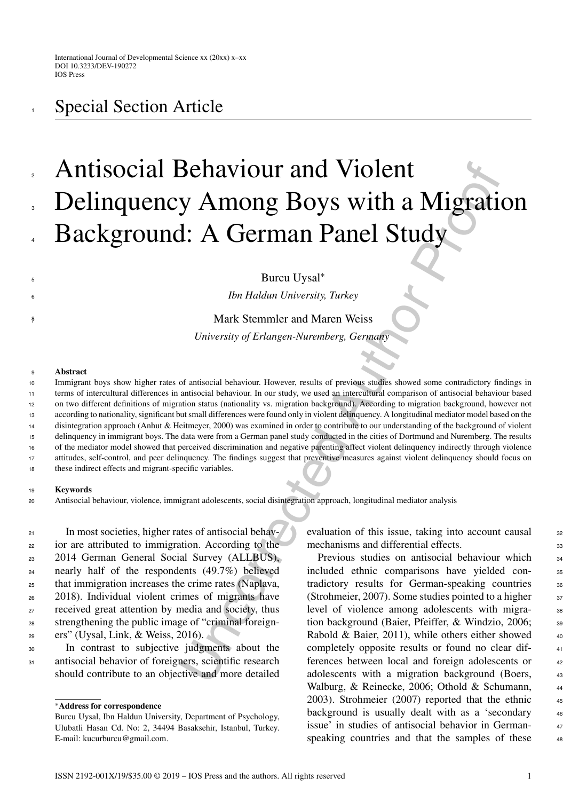## Antisocial Behaviour and Violent Delinquency Among Boys with a Migration Background: A German Panel Study 2 3 4

Burcu Uysal<sup>\*</sup>

<sup>6</sup> *Ibn Haldun University, Turkey*

Mark Stemmler and Maren Weiss

*University of Erlangen-Nuremberg, Germany*

## <sup>9</sup> **Abstract**

8

**Behaviour and Violent**<br>
y Among Boys with a Migratian Sample Study<br>  $\cdot$  A German Panel Study<br>  $\cdot$  Bureu Uysa<sup>+</sup><br> *Ibn Haldun University, Turkey*<br>
Mark Stemmler and Maren Weiss<br> *University of Erlanger-Nuremberg, German* Immigrant boys show higher rates of antisocial behaviour. However, results of previous studies showed some contradictory findings in terms of intercultural differences in antisocial behaviour. In our study, we used an intercultural comparison of antisocial behaviour based on two different definitions of migration status (nationality vs. migration background). According to migration background, however not according to nationality, significant but small differences were found only in violent delinquency. A longitudinal mediator model based on the disintegration approach (Anhut & Heitmeyer, 2000) was examined in order to contribute to our understanding of the background of violent delinquency in immigrant boys. The data were from a German panel study conducted in the cities of Dortmund and Nuremberg. The results of the mediator model showed that perceived discrimination and negative parenting affect violent delinquency indirectly through violence attitudes, self-control, and peer delinquency. The findings suggest that preventive measures against violent delinquency should focus on these indirect effects and migrant-specific variables. 10 11 12 13 14 15 16 17 18

## <sup>19</sup> **Keywords**

<sup>20</sup> Antisocial behaviour, violence, immigrant adolescents, social disintegration approach, longitudinal mediator analysis

 In most societies, higher rates of antisocial behav- ior are attributed to immigration. According to the 2014 German General Social Survey (ALLBUS), nearly half of the respondents (49.7%) believed that immigration increases the crime rates (Naplava, 2018). Individual violent crimes of migrants have received great attention by media and society, thus strengthening the public image of "criminal foreign-ers" (Uysal, Link, & Weiss, 2016).

<sup>30</sup> In contrast to subjective judgments about the 31 antisocial behavior of foreigners, scientific research should contribute to an objective and more detailed evaluation of this issue, taking into account causal <sup>32</sup> mechanisms and differential effects.

Previous studies on antisocial behaviour which <sub>34</sub> included ethnic comparisons have yielded con- <sup>35</sup> tradictory results for German-speaking countries 36 (Strohmeier, 2007). Some studies pointed to a higher  $37$ level of violence among adolescents with migration background (Baier, Pfeiffer, & Windzio, 2006; 39 Rabold & Baier, 2011), while others either showed  $40$ completely opposite results or found no clear dif- <sup>41</sup> ferences between local and foreign adolescents or  $42$ adolescents with a migration background (Boers, <sup>43</sup> Walburg, & Reinecke, 2006; Othold & Schumann, 44 2003). Strohmeier (2007) reported that the ethnic 45 background is usually dealt with as a 'secondary 46 issue' in studies of antisocial behavior in German- <sup>47</sup> speaking countries and that the samples of these  $48$ 

<sup>∗</sup>**Address for correspondence**

Burcu Uysal, Ibn Haldun University, Department of Psychology, Ulubatli Hasan Cd. No: 2, 34494 Basaksehir, Istanbul, Turkey. E-mail: [kucurburcu@gmail.com](mailto:kucurburcu@gmail.com).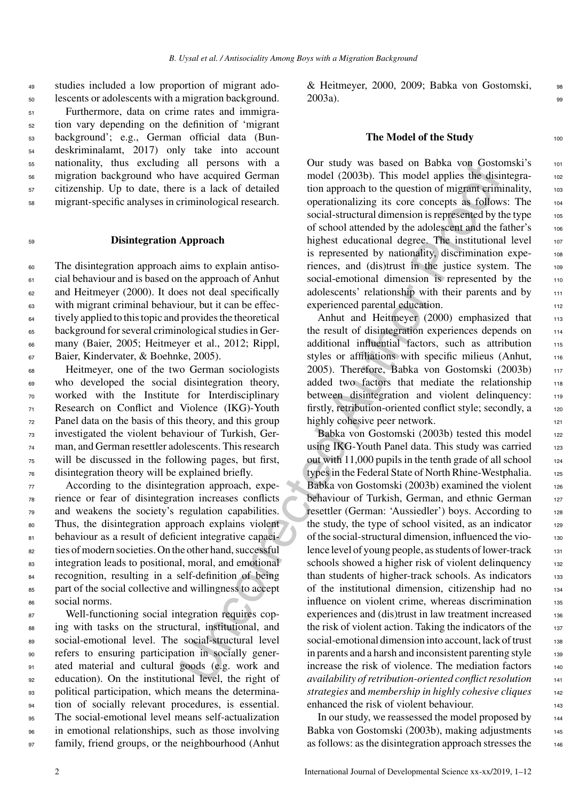<sup>49</sup> studies included a low proportion of migrant ado-<sup>50</sup> lescents or adolescents with a migration background.

 Furthermore, data on crime rates and immigra- tion vary depending on the definition of 'migrant background'; e.g., German official data (Bun- deskriminalamt, 2017) only take into account nationality, thus excluding all persons with a migration background who have acquired German citizenship. Up to date, there is a lack of detailed migrant-specific analyses in criminological research.

## <sup>59</sup> **Disintegration Approach**

 The disintegration approach aims to explain antiso- cial behaviour and is based on the approach of Anhut <sup>62</sup> and Heitmeyer (2000). It does not deal specifically with migrant criminal behaviour, but it can be effec- tively applied to this topic and provides the theoretical background for several criminological studies in Ger- many (Baier, 2005; Heitmeyer et al., 2012; Rippl, Baier, Kindervater, & Boehnke, 2005).

 Heitmeyer, one of the two German sociologists who developed the social disintegration theory, worked with the Institute for Interdisciplinary Research on Conflict and Violence (IKG)-Youth Panel data on the basis of this theory, and this group investigated the violent behaviour of Turkish, Ger- man, and German resettler adolescents. This research will be discussed in the following pages, but first, disintegration theory will be explained briefly.

 According to the disintegration approach, expe- rience or fear of disintegration increases conflicts and weakens the society's regulation capabilities. Thus, the disintegration approach explains violent behaviour as a result of deficient integrative capaci- ties of modern societies. On the other hand, successful integration leads to positional, moral, and emotional recognition, resulting in a self-definition of being part of the social collective and willingness to accept social norms.

 Well-functioning social integration requires cop- ing with tasks on the structural, institutional, and social-emotional level. The social-structural level refers to ensuring participation in socially gener- ated material and cultural goods (e.g. work and education). On the institutional level, the right of political participation, which means the determina- tion of socially relevant procedures, is essential. The social-emotional level means self-actualization in emotional relationships, such as those involving 97 family, friend groups, or the neighbourhood (Anhut & Heitmeyer, 2000, 2009; Babka von Gostomski, <sup>98</sup>  $2003a$ ).

### **The Model of the Study** 100

Our study was based on Babka von Gostomski's <sup>101</sup> model (2003b). This model applies the disintegration approach to the question of migrant criminality, 103 operationalizing its core concepts as follows: The <sup>104</sup> social-structural dimension is represented by the type 105 of school attended by the adolescent and the father's 106 highest educational degree. The institutional level 107 is represented by nationality, discrimination experiences, and (dis)trust in the justice system. The 109 social-emotional dimension is represented by the 110 adolescents' relationship with their parents and by 111 experienced parental education. 112

Anhut and Heitmeyer (2000) emphasized that 113 the result of disintegration experiences depends on 114 additional influential factors, such as attribution 115 styles or affiliations with specific milieus (Anhut, 116 2005). Therefore, Babka von Gostomski (2003b) <sup>117</sup> added two factors that mediate the relationship 118 between disintegration and violent delinquency: 119 firstly, retribution-oriented conflict style; secondly, a 120 highly cohesive peer network.

all persons with a<br>
and persons were diversified and model (2003b). This model applies the distance account<br>
the average and model (2003b). This model applies the distance is a lack of detailed<br>
tion approach to the questi Babka von Gostomski (2003b) tested this model 122 using IKG-Youth Panel data. This study was carried 123 out with  $11,000$  pupils in the tenth grade of all school  $124$ types in the Federal State of North Rhine-Westphalia. 125 Babka von Gostomski (2003b) examined the violent 126 behaviour of Turkish, German, and ethnic German 127 resettler (German: 'Aussiedler') boys. According to 128 the study, the type of school visited, as an indicator  $129$ of the social-structural dimension, influenced the violence level of young people, as students of lower-track 131 schools showed a higher risk of violent delinquency 132 than students of higher-track schools. As indicators 133 of the institutional dimension, citizenship had no <sup>134</sup> influence on violent crime, whereas discrimination 135 experiences and (dis)trust in law treatment increased 136 the risk of violent action. Taking the indicators of the  $_{137}$ social-emotional dimension into account, lack of trust in parents and a harsh and inconsistent parenting style  $_{139}$ increase the risk of violence. The mediation factors 140 *availability of retribution-oriented conflict resolution* <sup>141</sup> *strategies* and *membership in highly cohesive cliques* <sup>142</sup> enhanced the risk of violent behaviour.

> In our study, we reassessed the model proposed by 144 Babka von Gostomski (2003b), making adjustments 145 as follows: as the disintegration approach stresses the 146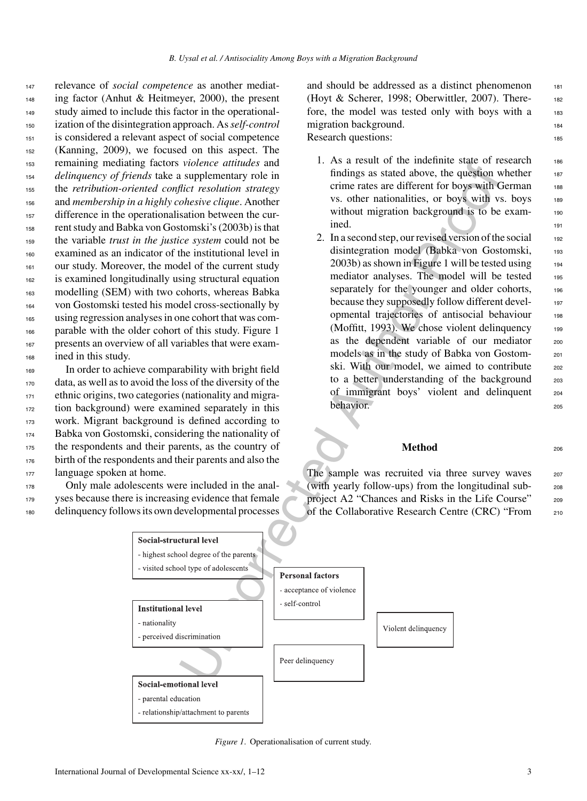relevance of *social competence* as another mediat- ing factor (Anhut & Heitmeyer, 2000), the present study aimed to include this factor in the operational- ization of the disintegration approach. As*self-control* is considered a relevant aspect of social competence (Kanning, 2009), we focused on this aspect. The remaining mediating factors *violence attitudes* and *delinquency of friends* take a supplementary role in the *retribution-oriented conflict resolution strategy* and *membership in a highly cohesive clique*. Another difference in the operationalisation between the cur- rent study and Babka von Gostomski's (2003b) is that the variable *trust in the justice system* could not be examined as an indicator of the institutional level in our study. Moreover, the model of the current study is examined longitudinally using structural equation modelling (SEM) with two cohorts, whereas Babka von Gostomski tested his model cross-sectionally by using regression analyses in one cohort that was com- parable with the older cohort of this study. Figure 1 presents an overview of all variables that were exam-ined in this study.

 In order to achieve comparability with bright field data, as well as to avoid the loss of the diversity of the ethnic origins, two categories (nationality and migra- tion background) were examined separately in this work. Migrant background is defined according to Babka von Gostomski, considering the nationality of the respondents and their parents, as the country of birth of the respondents and their parents and also the language spoken at home.

<sup>178</sup> Only male adolescents were included in the anal-<sup>179</sup> yses because there is increasing evidence that female <sup>180</sup> delinquency follows its own developmental processes

and should be addressed as a distinct phenomenon 181 (Hoyt & Scherer, 1998; Oberwittler, 2007). There- <sup>182</sup> fore, the model was tested only with boys with a 183 migration background. Research questions: 185

- 1. As a result of the indefinite state of research 186 findings as stated above, the question whether  $187$ crime rates are different for boys with German 188 vs. other nationalities, or boys with vs. boys 189 without migration background is to be examined.
- 2. In a second step, our revised version of the social  $192$ disintegration model (Babka von Gostomski, 193  $2003b$ ) as shown in Figure 1 will be tested using  $194$ mediator analyses. The model will be tested 195 separately for the younger and older cohorts, 196 because they supposedly follow different devel- <sup>197</sup> opmental trajectories of antisocial behaviour <sup>198</sup> (Moffitt, 1993). We chose violent delinquency  $199$ as the dependent variable of our mediator 200 models as in the study of Babka von Gostomski. With our model, we aimed to contribute 202 to a better understanding of the background <sub>203</sub> of immigrant boys' violent and delinquent <sup>204</sup> behavior.

## **Method** 206

The sample was recruited via three survey waves 207 (with yearly follow-ups) from the longitudinal sub- <sup>208</sup> project A2 "Chances and Risks in the Life Course" 209 of the Collaborative Research Centre (CRC) "From <sup>210</sup>



*Figure 1*. Operationalisation of current study.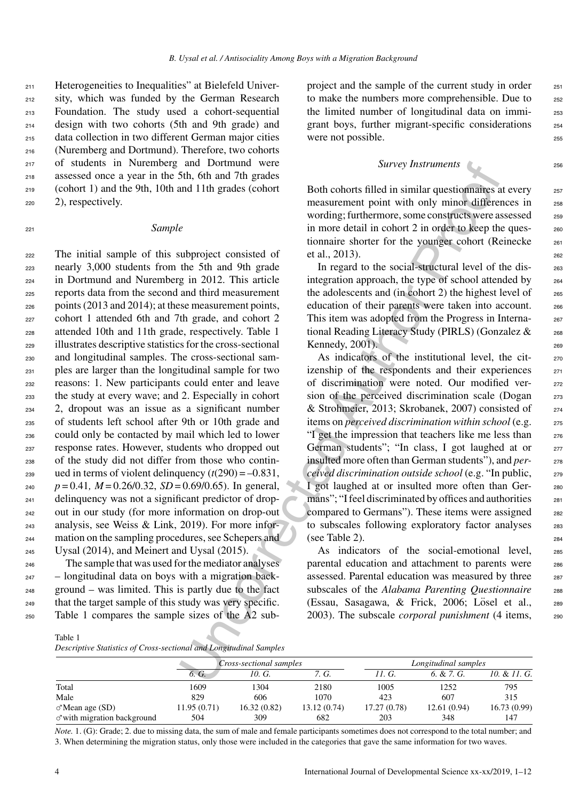Heterogeneities to Inequalities" at Bielefeld Univer- sity, which was funded by the German Research Foundation. The study used a cohort-sequential design with two cohorts (5th and 9th grade) and data collection in two different German major cities (Nuremberg and Dortmund). Therefore, two cohorts of students in Nuremberg and Dortmund were assessed once a year in the 5th, 6th and 7th grades (cohort 1) and the 9th, 10th and 11th grades (cohort 2), respectively.

## <sup>221</sup> *Sample*

 The initial sample of this subproject consisted of nearly 3,000 students from the 5th and 9th grade in Dortmund and Nuremberg in 2012. This article reports data from the second and third measurement points (2013 and 2014); at these measurement points, cohort 1 attended 6th and 7th grade, and cohort 2 attended 10th and 11th grade, respectively. Table 1 illustrates descriptive statistics for the cross-sectional and longitudinal samples. The cross-sectional sam- ples are larger than the longitudinal sample for two reasons: 1. New participants could enter and leave the study at every wave; and 2. Especially in cohort 2, dropout was an issue as a significant number of students left school after 9th or 10th grade and could only be contacted by mail which led to lower response rates. However, students who dropped out of the study did not differ from those who contin-239 ued in terms of violent delinquency  $(t(290) = -0.831$ ,  $p = 0.41$ ,  $M = 0.26/0.32$ ,  $SD = 0.69/0.65$ ). In general, delinquency was not a significant predictor of drop- out in our study (for more information on drop-out analysis, see Weiss & Link, 2019). For more infor- mation on the sampling procedures, see Schepers and Uysal (2014), and Meinert and Uysal (2015).

 The sample that was used for the mediator analyses – longitudinal data on boys with a migration back- ground – was limited. This is partly due to the fact that the target sample of this study was very specific. Table 1 compares the sample sizes of the A2 subproject and the sample of the current study in order <sub>251</sub> to make the numbers more comprehensible. Due to 252 the limited number of longitudinal data on immi-<br>253 grant boys, further migrant-specific considerations <sup>254</sup> were not possible.

## *Survey Instruments* <sup>256</sup>

Both cohorts filled in similar questionnaires at every 257 measurement point with only minor differences in 258 wording; furthermore, some constructs were assessed <sub>259</sub> in more detail in cohort 2 in order to keep the ques-<br>260 tionnaire shorter for the younger cohort (Reinecke 261 et al., 2013). <sup>262</sup>

In regard to the social-structural level of the disintegration approach, the type of school attended by <sup>264</sup> the adolescents and (in cohort 2) the highest level of  $265$ education of their parents were taken into account. 266 This item was adopted from the Progress in International Reading Literacy Study (PIRLS) (Gonzalez & 268 Kennedy,  $2001$ ).

Starting and Derfundural server and Derfundural server and Derfundural server and Derfundural server and Derfundural server and Derfundural server and Derfundural server and Derfundural server and the solar and the site a As indicators of the institutional level, the citizenship of the respondents and their experiences 271 of discrimination were noted. Our modified ver- <sup>272</sup> sion of the perceived discrimination scale (Dogan 273 & Strohmeier, 2013; Skrobanek, 2007) consisted of <sup>274</sup> items on *perceived discrimination within school* (e.g. <sup>275</sup> "I get the impression that teachers like me less than 276 German students"; "In class, I got laughed at or 277 insulted more often than German students"), and *per-* 278 *ceived discrimination outside school* (e.g. "In public, <sup>279</sup> I got laughed at or insulted more often than Ger-<br>280 mans"; "I feel discriminated by offices and authorities 281 compared to Germans"). These items were assigned 282 to subscales following exploratory factor analyses 283 (see Table 2).  $284$ 

As indicators of the social-emotional level, 285 parental education and attachment to parents were 286 assessed. Parental education was measured by three 287 subscales of the *Alabama Parenting Questionnaire* 288 (Essau, Sasagawa, & Frick, 2006; Lösel et al., 289 2003). The subscale *corporal punishment* (4 items, <sup>290</sup>

|                                    | Cross-sectional samples |             |              |              | Longitudinal samples |              |  |  |
|------------------------------------|-------------------------|-------------|--------------|--------------|----------------------|--------------|--|--|
|                                    | 6. G.                   | 10. G.      | 7. G.        | 11. G.       | 6. & 7. G.           | 10. & 11. G. |  |  |
| Total                              | 1609                    | 1304        | 2180         | 1005         | 1252                 | 795          |  |  |
| Male                               | 829                     | 606         | 1070         | 423          | 607                  | 315          |  |  |
| $\sigma$ Mean age (SD)             | 11.95 (0.71)            | 16.32(0.82) | 13.12 (0.74) | 17.27 (0.78) | 12.61(0.94)          | 16.73(0.99)  |  |  |
| $\sigma$ with migration background | 504                     | 309         | 682          | 203          | 348                  | 147          |  |  |

*Note.* 1. (G): Grade; 2. due to missing data, the sum of male and female participants sometimes does not correspond to the total number; and 3. When determining the migration status, only those were included in the categories that gave the same information for two waves.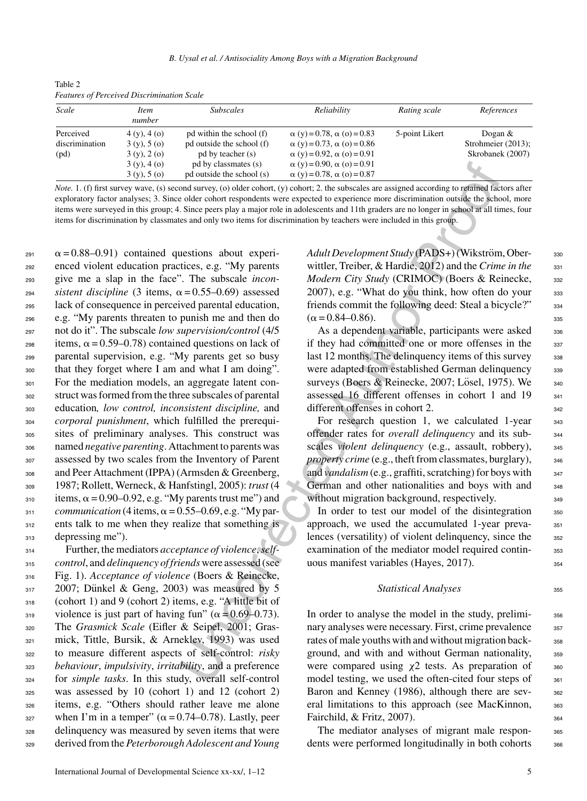| Scale          | <i>Item</i><br>number | <i>Subscales</i>          | Reliability                              | Rating scale   | References         |
|----------------|-----------------------|---------------------------|------------------------------------------|----------------|--------------------|
| Perceived      | 4(y), 4(0)            | pd within the school (f)  | $\alpha$ (y) = 0.78, $\alpha$ (o) = 0.83 | 5-point Likert | Dogan $\&$         |
| discrimination | 3(y), 5(0)            | pd outside the school (f) | $\alpha$ (y) = 0.73, $\alpha$ (o) = 0.86 |                | Strohmeier (2013); |
| (pd)           | 3(y), 2(0)            | pd by teacher (s)         | $\alpha$ (y) = 0.92, $\alpha$ (o) = 0.91 |                | Skrobanek (2007)   |
|                | 3(y), 4(0)            | pd by classmates (s)      | $\alpha$ (y) = 0.90, $\alpha$ (o) = 0.91 |                |                    |
|                | 3(y), 5(0)            | pd outside the school (s) | $\alpha$ (y) = 0.78, $\alpha$ (o) = 0.87 |                |                    |

Table 2 *Features of Perceived Discrimination Scale*

*Note.* 1. (f) first survey wave, (s) second survey, (o) older cohort, (y) cohort; 2. the subscales are assigned according to retained factors after exploratory factor analyses; 3. Since older cohort respondents were expected to experience more discrimination outside the school, more items were surveyed in this group; 4. Since peers play a major role in adolescents and 11th graders are no longer in school at all times, four items for discrimination by classmates and only two items for discrimination by teachers were included in this group.

pd by classmates (s)  $\alpha$  (s) = 0.00,  $\alpha$  (s) = 0.00,  $\alpha$  (s) = 0.01<br>pd outside the school (s)  $\alpha$  (y) = 0.78,  $\alpha$  (o) = 0.87<br>ond survey, (o) older colort, (y) colores (2) as basiscalis are assigned according to regis 291  $\alpha$  = 0.88–0.91) contained questions about experi- enced violent education practices, e.g. "My parents give me a slap in the face". The subscale *incon* $s$ *istent discipline* (3 items,  $\alpha = 0.55 - 0.69$ ) assessed lack of consequence in perceived parental education, e.g. "My parents threaten to punish me and then do not do it". The subscale *low supervision/control* (4/5 items,  $\alpha = 0.59 - 0.78$  contained questions on lack of parental supervision, e.g. "My parents get so busy that they forget where I am and what I am doing". For the mediation models, an aggregate latent con- struct was formed from the three subscales of parental education*, low control, inconsistent discipline,* and *corporal punishment*, which fulfilled the prerequi- sites of preliminary analyses. This construct was named *negative parenting*. Attachment to parents was assessed by two scales from the Inventory of Parent and Peer Attachment (IPPA) (Armsden & Greenberg, 1987; Rollett, Werneck, & Hanfstingl, 2005): *trust* (4  $\alpha$  items,  $\alpha$  = 0.90–0.92, e.g. "My parents trust me") and  $_{311}$  *communication* (4 items,  $\alpha = 0.55{\text -}0.69$ , e.g. "My par-312 ents talk to me when they realize that something is depressing me").

 Further, the mediators *acceptance of violence*,*self- control*, and *delinquency of friends* were assessed (see Fig. 1). *Acceptance of violence* (Boers & Reinecke, 2007; Dünkel & Geng, 2003) was measured by 5 (cohort 1) and 9 (cohort 2) items, e.g. "A little bit of 319 violence is just part of having fun" ( $\alpha$  = 0.69–0.73). The *Grasmick Scale* (Eifler & Seipel, 2001; Gras- mick, Tittle, Bursik, & Arneklev, 1993) was used to measure different aspects of self-control: *risky behaviour*, *impulsivity*, *irritability*, and a preference for *simple tasks*. In this study, overall self-control was assessed by 10 (cohort 1) and 12 (cohort 2) items, e.g. "Others should rather leave me alone when I'm in a temper"  $(\alpha = 0.74 - 0.78)$ . Lastly, peer delinquency was measured by seven items that were derived from the *Peterborough Adolescent and Young*

*Adult Development Study* (PADS+) (Wikström, Ober- 330 wittler, Treiber, & Hardie, 2012) and the *Crime in the* 331 *Modern City Study* (CRIMOC) (Boers & Reinecke, 332  $2007$ ), e.g. "What do you think, how often do your  $333$ friends commit the following deed: Steal a bicycle?" 334  $(\alpha = 0.84 - 0.86)$ . 335

As a dependent variable, participants were asked  $336$ if they had committed one or more offenses in the 337 last 12 months. The delinquency items of this survey  $338$ were adapted from established German delinquency 339 surveys (Boers & Reinecke, 2007; Lösel, 1975). We  $_{340}$ assessed 16 different offenses in cohort 1 and 19  $\frac{341}{2}$ different offenses in cohort 2. 342

For research question 1, we calculated 1-year  $343$ offender rates for *overall delinquency* and its sub- <sup>344</sup> scales *violent delinquency* (e.g., assault, robbery), 345 *property crime* (e.g., theft from classmates, burglary), 346 and *vandalism* (e.g., graffiti, scratching) for boys with 347 German and other nationalities and boys with and <sub>348</sub> without migration background, respectively.

In order to test our model of the disintegration 350 approach, we used the accumulated 1-year preva-<br>351 lences (versatility) of violent delinquency, since the  $352$ examination of the mediator model required contin-<br><sub>353</sub> uous manifest variables (Hayes,  $2017$ ).  $354$ 

## **Statistical Analyses** 355

In order to analyse the model in the study, prelimi-<br><sub>356</sub> nary analyses were necessary. First, crime prevalence  $357$ rates of male youths with and without migration back-<br><sub>358</sub> ground, and with and without German nationality, 359 were compared using  $\chi$ 2 tests. As preparation of  $\frac{360}{250}$ model testing, we used the often-cited four steps of 361 Baron and Kenney (1986), although there are sev-<br>sez eral limitations to this approach (see MacKinnon, 363 Fairchild, & Fritz, 2007). 364

The mediator analyses of migrant male respon-<br><sub>365</sub> dents were performed longitudinally in both cohorts <sup>366</sup>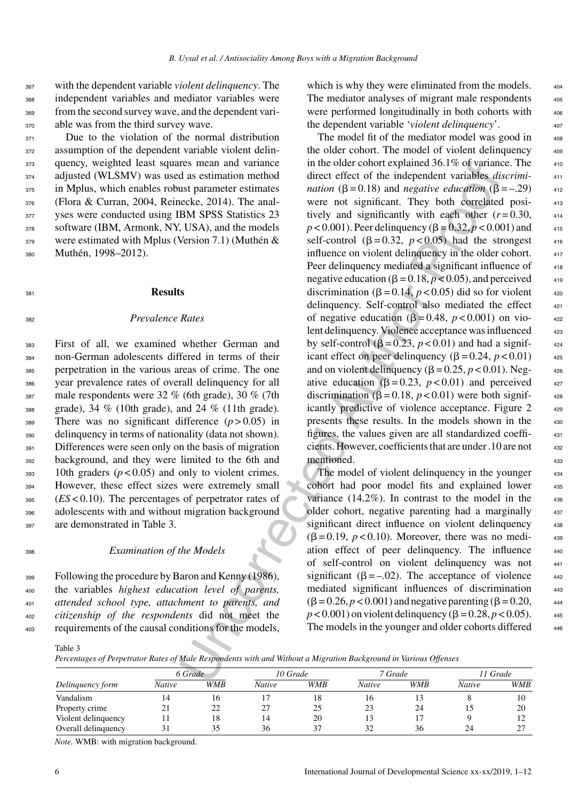with the dependent variable *violent delinquency*. The independent variables and mediator variables were from the second survey wave, and the dependent vari-able was from the third survey wave.

371 Due to the violation of the normal distribution 372 assumption of the dependent variable violent delin-<sup>373</sup> quency, weighted least squares mean and variance <sup>374</sup> adjusted (WLSMV) was used as estimation method 375 in Mplus, which enables robust parameter estimates <sup>376</sup> (Flora & Curran, 2004, Reinecke, 2014). The anal-<sup>377</sup> yses were conducted using IBM SPSS Statistics 23 378 software (IBM, Armonk, NY, USA), and the models  $379$  were estimated with Mplus (Version 7.1) (Muthén & 380 Muthén, 1998–2012).

<sup>381</sup> **Results**

<sup>382</sup> *Prevalence Rates*

 First of all, we examined whether German and non-German adolescents differed in terms of their perpetration in the various areas of crime. The one year prevalence rates of overall delinquency for all male respondents were 32 % (6th grade), 30 % (7th grade), 34 % (10th grade), and 24 % (11th grade). There was no significant difference (*p* > 0.05) in delinquency in terms of nationality (data not shown). 391 Differences were seen only on the basis of migration background, and they were limited to the 6th and 10th graders ( $p < 0.05$ ) and only to violent crimes. However, these effect sizes were extremely small (*ES* < 0.10). The percentages of perpetrator rates of adolescents with and without migration background are demonstrated in Table 3.

## <sup>398</sup> *Examination of the Models*

 Following the procedure by Baron and Kenny (1986), the variables *highest education level of parents, attended school type, attachment to parents, and citizenship of the respondents* did not meet the requirements of the causal conditions for the models,

which is why they were eliminated from the models. The mediator analyses of migrant male respondents were performed longitudinally in both cohorts with the dependent variable '*violent delinquency*'.

res mean and variance in the older conoringinated b.1% o variance and variance and variance in the older conoringination ( $B = 0.18$ ) and  $n_{\text{grav}}$  proofing the sector of  $\sqrt{1.08}$ ) and  $\pi$  and significant *mean* ( $B = 0.$ The model fit of the mediator model was good in  $408$ the older cohort. The model of violent delinquency  $408$ in the older cohort explained  $36.1\%$  of variance. The  $410$ direct effect of the independent variables *discrimi-* <sup>411</sup> *nation*  $(\beta = 0.18)$  and *negative education*  $(\beta = -0.29)$  412 were not significant. They both correlated positively and significantly with each other  $(r=0.30,$   $_{414}$  $p < 0.001$ ). Peer delinquency ( $\beta = 0.32$ ,  $p < 0.001$ ) and 415 self-control  $(\beta = 0.32, p < 0.05)$  had the strongest  $416$ influence on violent delinquency in the older cohort.  $417$ Peer delinquency mediated a significant influence of  $418$ negative education  $(\beta = 0.18, p < 0.05)$ , and perceived  $_{419}$ discrimination ( $\beta = 0.14$ ,  $p < 0.05$ ) did so for violent  $420$ delinquency. Self-control also mediated the effect 421 of negative education  $(\beta = 0.48, p < 0.001)$  on violent delinquency. Violence acceptance was influenced  $423$ by self-control  $(\beta = 0.23, p < 0.01)$  and had a significant effect on peer delinquency  $(\beta = 0.24, p < 0.01)$  425 and on violent delinquency  $(\beta = 0.25, p < 0.01)$ . Negative education  $(\beta = 0.23, p < 0.01)$  and perceived  $427$ discrimination  $(B = 0.18, p < 0.01)$  were both significantly predictive of violence acceptance. Figure 2  $429$ presents these results. In the models shown in the 430 figures, the values given are all standardized coeffi- <sup>431</sup> cients. However, coefficients that are under .10 are not <sup>432</sup> mentioned.

The model of violent delinquency in the younger 434 cohort had poor model fits and explained lower 435 variance  $(14.2\%)$ . In contrast to the model in the  $436$ older cohort, negative parenting had a marginally 437 significant direct influence on violent delinquency 438  $(\beta = 0.19, p < 0.10)$ . Moreover, there was no mediation effect of peer delinquency. The influence <sup>440</sup> of self-control on violent delinquency was not <sup>441</sup> significant ( $\beta = -0.02$ ). The acceptance of violence  $442$ mediated significant influences of discrimination 443  $( \beta = 0.26, p < 0.001)$  and negative parenting  $( \beta = 0.20, 444)$  $p < 0.001$ ) on violent delinquency ( $\beta = 0.28, p < 0.05$ ). The models in the younger and older cohorts differed  $446$ 

Table 3

*Percentages of Perpetrator Rates of Male Respondents with and Without a Migration Background in Various Offenses*

|                     | 6 Grade |            | 10 Grade |            | 7 Grade |            | ! I Grade |            |
|---------------------|---------|------------|----------|------------|---------|------------|-----------|------------|
| Delinquency form    | Native  | <b>WMB</b> | Native   | <b>WMB</b> | Native  | <b>WMB</b> | Native    | <b>WMB</b> |
| Vandalism           |         | 16         |          | 18         | 16      |            |           | 10         |
| Property crime      |         | 22         |          | 25         | 23      | 24         |           | 20         |
| Violent delinquency |         | 18         | 14       | 20         |         |            |           |            |
| Overall delinquency |         | 35         | 36       | 37         | 32      | 36         | 24        | $\sim$     |

*Note.* WMB: with migration background.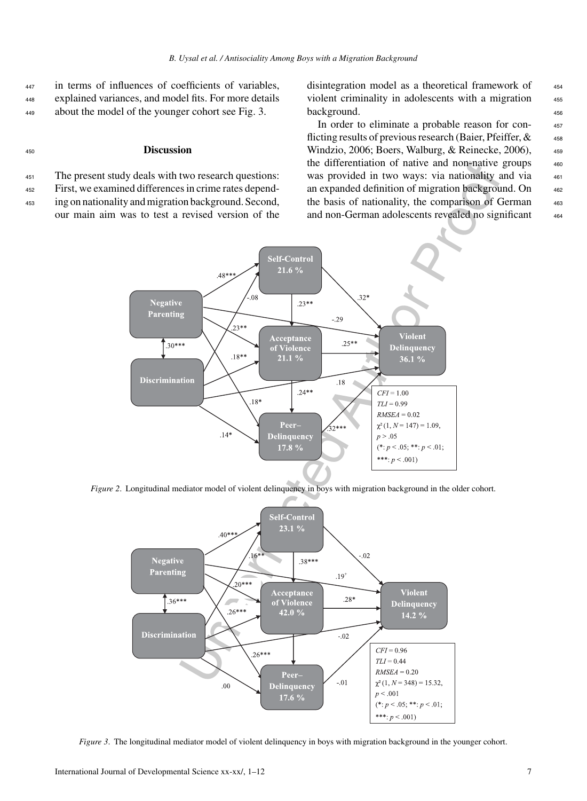<sup>447</sup> in terms of influences of coefficients of variables, <sup>448</sup> explained variances, and model fits. For more details <sup>449</sup> about the model of the younger cohort see Fig. 3.

## <sup>450</sup> **Discussion**

<sup>451</sup> The present study deals with two research questions:

<sup>452</sup> First, we examined differences in crime rates depend-

<sup>453</sup> ing on nationality and migration background. Second, our main aim was to test a revised version of the disintegration model as a theoretical framework of  $454$ violent criminality in adolescents with a migration 455 background. 456

In order to eliminate a probable reason for con- <sup>457</sup> flicting results of previous research (Baier, Pfeiffer,  $\&$ <sub>458</sub> Windzio, 2006; Boers, Walburg, & Reinecke, 2006),  $459$ the differentiation of native and non-native groups  $460$ was provided in two ways: via nationality and via  $461$ an expanded definition of migration background. On  $462$ the basis of nationality, the comparison of German 463 and non-German adolescents revealed no significant 464



*Figure 2.* Longitudinal mediator model of violent delinquency in boys with migration background in the older cohort.



*Figure 3*. The longitudinal mediator model of violent delinquency in boys with migration background in the younger cohort.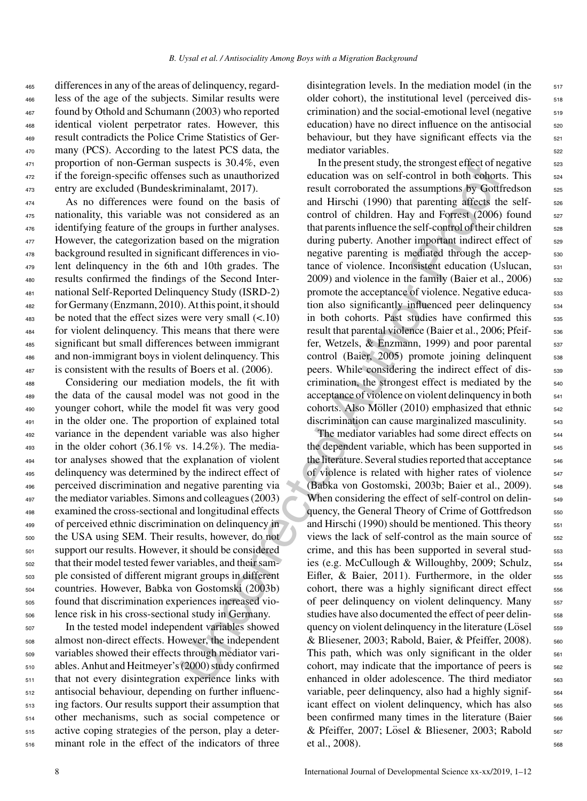differences in any of the areas of delinquency, regard- less of the age of the subjects. Similar results were found by Othold and Schumann (2003) who reported identical violent perpetrator rates. However, this result contradicts the Police Crime Statistics of Ger- many (PCS). According to the latest PCS data, the proportion of non-German suspects is 30.4%, even if the foreign-specific offenses such as unauthorized entry are excluded (Bundeskriminalamt, 2017).

 As no differences were found on the basis of nationality, this variable was not considered as an identifying feature of the groups in further analyses. However, the categorization based on the migration background resulted in significant differences in vio- lent delinquency in the 6th and 10th grades. The results confirmed the findings of the Second Inter- national Self-Reported Delinquency Study (ISRD-2) for Germany (Enzmann, 2010). At this point, it should be noted that the effect sizes were very small  $(< .10)$  for violent delinquency. This means that there were significant but small differences between immigrant and non-immigrant boys in violent delinquency. This is consistent with the results of Boers et al. (2006).

 Considering our mediation models, the fit with the data of the causal model was not good in the younger cohort, while the model fit was very good in the older one. The proportion of explained total variance in the dependent variable was also higher in the older cohort (36.1% vs. 14.2%). The media- tor analyses showed that the explanation of violent delinquency was determined by the indirect effect of perceived discrimination and negative parenting via the mediator variables. Simons and colleagues (2003) examined the cross-sectional and longitudinal effects of perceived ethnic discrimination on delinquency in the USA using SEM. Their results, however, do not support our results. However, it should be considered that their model tested fewer variables, and their sam- ple consisted of different migrant groups in different countries. However, Babka von Gostomski (2003b) found that discrimination experiences increased vio-lence risk in his cross-sectional study in Germany.

 In the tested model independent variables showed almost non-direct effects. However, the independent variables showed their effects through mediator vari- ables. Anhut and Heitmeyer's (2000) study confirmed that not every disintegration experience links with antisocial behaviour, depending on further influenc- ing factors. Our results support their assumption that other mechanisms, such as social competence or active coping strategies of the person, play a deter-minant role in the effect of the indicators of three

disintegration levels. In the mediation model (in the  $517$ older cohort), the institutional level (perceived dis $crimination$ ) and the social-emotional level (negative  $519$ education) have no direct influence on the antisocial <sub>520</sub> behaviour, but they have significant effects via the  $521$ mediator variables.

uspects is 30.4%, even<br>
in the present study, the strongest effect of the measure state as such as unauthorized<br>
education was on self-control in both essent as unauthorized<br>
from leads of<br>
from leads of and Hirschi (1990) In the present study, the strongest effect of negative <sub>523</sub> education was on self-control in both cohorts. This  $_{524}$ result corroborated the assumptions by Gottfredson <sub>525</sub> and Hirschi (1990) that parenting affects the self-<br>see control of children. Hay and Forrest  $(2006)$  found  $527$ that parents influence the self-control of their children <sub>528</sub> during puberty. Another important indirect effect of  $\qquad$  529 negative parenting is mediated through the accep-<br>530 tance of violence. Inconsistent education (Uslucan, 531 2009) and violence in the family (Baier et al., 2006) 532 promote the acceptance of violence. Negative educa- 533 tion also significantly influenced peer delinquency 534 in both cohorts. Past studies have confirmed this 535 result that parental violence (Baier et al., 2006; Pfeif<sub>536</sub> fer, Wetzels,  $&$  Enzmann, 1999) and poor parental  $\frac{537}{2}$  $control$  (Baier,  $2005$ ) promote joining delinquent  $538$ peers. While considering the indirect effect of discrimination, the strongest effect is mediated by the  $_{540}$ acceptance of violence on violent delinquency in both  $_{541}$ cohorts. Also Möller  $(2010)$  emphasized that ethnic  $\qquad 542$ discrimination can cause marginalized masculinity.  $\frac{543}{2}$ 

The mediator variables had some direct effects on  $544$ the dependent variable, which has been supported in 545 the literature. Several studies reported that acceptance  $_{546}$ of violence is related with higher rates of violence 547 (Babka von Gostomski, 2003b; Baier et al., 2009). <sup>548</sup> When considering the effect of self-control on delinquency, the General Theory of Crime of Gottfredson 550 and Hirschi (1990) should be mentioned. This theory  $551$ views the lack of self-control as the main source of 552 crime, and this has been supported in several studies (e.g. McCullough & Willoughby, 2009; Schulz,  $_{554}$ Eifler, & Baier, 2011). Furthermore, in the older 555 cohort, there was a highly significant direct effect 556 of peer delinquency on violent delinquency. Many 557 studies have also documented the effect of peer delinquency on violent delinquency in the literature  $(L\ddot{\circ}$  sse & Bliesener, 2003; Rabold, Baier, & Pfeiffer, 2008).  $\frac{560}{1000}$ This path, which was only significant in the older  $561$ cohort, may indicate that the importance of peers is  $562$ enhanced in older adolescence. The third mediator 563 variable, peer delinquency, also had a highly signif-<br><sub>564</sub> icant effect on violent delinquency, which has also  $565$ been confirmed many times in the literature (Baier 566 & Pfeiffer, 2007; Losel & Bliesener, 2003; Rabold ¨ <sup>567</sup> et al.,  $2008$ ).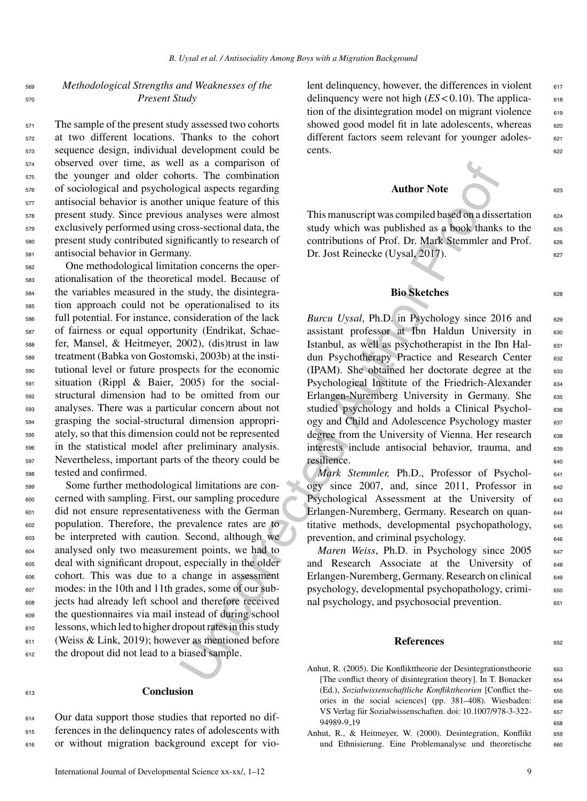## <sup>569</sup> *Methodological Strengths and Weaknesses of the* <sup>570</sup> *Present Study*

 The sample of the present study assessed two cohorts at two different locations. Thanks to the cohort sequence design, individual development could be observed over time, as well as a comparison of the younger and older cohorts. The combination of sociological and psychological aspects regarding antisocial behavior is another unique feature of this present study. Since previous analyses were almost exclusively performed using cross-sectional data, the present study contributed significantly to research of antisocial behavior in Germany.

 One methodological limitation concerns the oper- ationalisation of the theoretical model. Because of the variables measured in the study, the disintegra- tion approach could not be operationalised to its full potential. For instance, consideration of the lack of fairness or equal opportunity (Endrikat, Schae- fer, Mansel, & Heitmeyer, 2002), (dis)trust in law treatment (Babka von Gostomski, 2003b) at the insti- tutional level or future prospects for the economic situation (Rippl & Baier, 2005) for the social- structural dimension had to be omitted from our analyses. There was a particular concern about not grasping the social-structural dimension appropri- ately, so that this dimension could not be represented in the statistical model after preliminary analysis. Nevertheless, important parts of the theory could be tested and confirmed.

 Some further methodological limitations are con- cerned with sampling. First, our sampling procedure did not ensure representativeness with the German population. Therefore, the prevalence rates are to be interpreted with caution. Second, although we analysed only two measurement points, we had to deal with significant dropout, especially in the older cohort. This was due to a change in assessment modes: in the 10th and 11th grades, some of our sub- jects had already left school and therefore received the questionnaires via mail instead of during school lessons, which led to higher dropout rates in this study (Weiss & Link, 2019); however as mentioned before the dropout did not lead to a biased sample.

## <sup>613</sup> **Conclusion**

<sup>614</sup> Our data support those studies that reported no dif-<sup>615</sup> ferences in the delinquency rates of adolescents with <sup>616</sup> or without migration background except for violent delinquency, however, the differences in violent  $617$ delinquency were not high  $(ES < 0.10)$ . The applica- 618 tion of the disintegration model on migrant violence  $\qquad$  619 showed good model fit in late adolescents, whereas 620 different factors seem relevant for younger adoles- 621 cents. 622

# Author Note

This manuscript was compiled based on a dissertation  $624$ study which was published as a book thanks to the  $625$ contributions of Prof. Dr. Mark Stemmler and Prof. 626 Dr. Jost Reinecke (Uysal, 2017).

## **Bio Sketches** 628

It as a comparison of the matrix and the matrix and the a comparison of the case tegating priorid aspects regarding<br>
transition and the state state and the state state and the state state of this manuscript was compiled b *Burcu Uysal*, Ph.D. in Psychology since 2016 and 629 assistant professor at Ibn Haldun University in 630 Istanbul, as well as psychotherapist in the Ibn Hal- <sup>631</sup> dun Psychotherapy Practice and Research Center 632 (IPAM). She obtained her doctorate degree at the 633 Psychological Institute of the Friedrich-Alexander 634 Erlangen-Nuremberg University in Germany. She 635 studied psychology and holds a Clinical Psychol- 636 ogy and Child and Adolescence Psychology master 637 degree from the University of Vienna. Her research 638 interests include antisocial behavior, trauma, and 639 resilience.

*Mark Stemmler, Ph.D., Professor of Psychol-* 641 ogy since 2007, and, since 2011, Professor in  $642$ Psychological Assessment at the University of 643 Erlangen-Nuremberg, Germany. Research on quan- <sup>644</sup> titative methods, developmental psychopathology, 645 prevention, and criminal psychology.

*Maren Weiss*, Ph.D. in Psychology since 2005 647 and Research Associate at the University of 648 Erlangen-Nuremberg, Germany. Research on clinical 649 psychology, developmental psychopathology, crimi- <sup>650</sup> nal psychology, and psychosocial prevention. 651

## **References** 652

- Anhut, R. (2005). Die Konflikttheorie der Desintegrationstheorie 653 [The conflict theory of disintegration theory]. In T. Bonacker 654 (Ed.), *Sozialwissenschaftliche Konflikttheorien* [Conflict the- <sup>655</sup> ories in the social sciences] (pp. 381-408). Wiesbaden: 656 VS Verlag für Sozialwissenschaften. doi: 10.1007/978-3-322- 657 94989-9<sub>-1</sub>9 658
- Anhut, R., & Heitmeyer, W. (2000). Desintegration, Konflikt 659 und Ethnisierung. Eine Problemanalyse und theoretische 660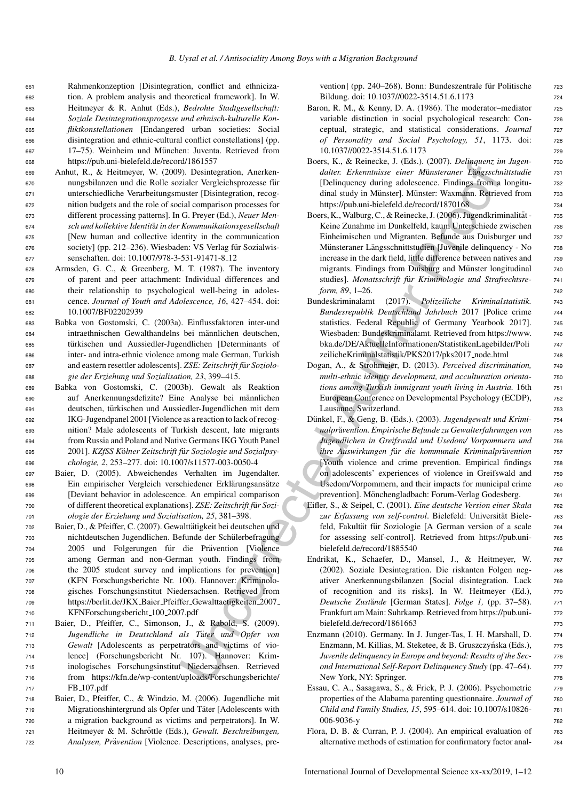Rahmenkonzeption [Disintegration, conflict and ethniciza- tion. A problem analysis and theoretical framework]. In W. Heitmeyer & R. Anhut (Eds.), *Bedrohte Stadtgesellschaft: Soziale Desintegrationsprozesse und ethnisch-kulturelle Kon- fliktkonstellationen* [Endangered urban societies: Social disintegration and ethnic-cultural conflict constellations] (pp. 667 17–75). Weinheim und München: Juventa. Retrieved from https://pub.uni-bielefeld.de/record/1861557

- <sup>669</sup> Anhut, R., & Heitmeyer, W. (2009). Desintegration, Anerken-<sup>670</sup> nungsbilanzen und die Rolle sozialer Vergleichsprozesse fur¨ <sup>671</sup> unterschiedliche Verarbeitungsmuster [Disintegration, recog-<sup>672</sup> nition budgets and the role of social comparison processes for <sup>673</sup> different processing patterns]. In G. Preyer (Ed.), *Neuer Men-*<sup>674</sup> *sch und kollektive Identit*a¨*t in der Kommunikationsgesellschaft* <sup>675</sup> [New human and collective identity in the communication 676 society] (pp. 212–236). Wiesbaden: VS Verlag für Sozialwis-<sup>677</sup> senschaften. doi: 10.1007/978-3-531-91471-8 12
- <sup>678</sup> Armsden, G. C., & Greenberg, M. T. (1987). The inventory <sup>679</sup> of parent and peer attachment: Individual differences and <sup>680</sup> their relationship to psychological well-being in adoles-<sup>681</sup> cence. *Journal of Youth and Adolescence, 16*, 427–454. doi: <sup>682</sup> 10.1007/BF02202939
- <sup>683</sup> Babka von Gostomski, C. (2003a). Einflussfaktoren inter-und 684 intraethnischen Gewalthandelns bei männlichen deutschen, <sup>685</sup> turkischen und Aussiedler-Jugendlichen [Determinants of ¨ <sup>686</sup> inter- and intra-ethnic violence among male German, Turkish 687 and eastern resettler adolescents]. *ZSE: Zeitschrift für Soziolo-*<sup>688</sup> *gie der Erziehung und Sozialisation, 23*, 399–415.
- <sup>689</sup> Babka von Gostomski, C. (2003b). Gewalt als Reaktion <sup>690</sup> auf Anerkennungsdefizite? Eine Analyse bei mannlichen ¨ <sup>691</sup> deutschen, turkischen und Aussiedler-Jugendlichen mit dem ¨ <sup>692</sup> IKG-Jugendpanel 2001 [Violence as a reaction to lack of recog-<sup>693</sup> nition? Male adolescents of Turkish descent, late migrants <sup>694</sup> from Russia and Poland and Native Germans IKG Youth Panel <sup>695</sup> 2001]. *KZfSS K*o¨*lner Zeitschrift f*u¨*r Soziologie und Sozialpsy-*<sup>696</sup> *chologie, 2*, 253–277. doi: 10.1007/s11577-003-0050-4
- <sup>697</sup> Baier, D. (2005). Abweichendes Verhalten im Jugendalter. 698 Ein empirischer Vergleich verschiedener Erklärungsansätze <sup>699</sup> [Deviant behavior in adolescence. An empirical comparison 700 of different theoretical explanations]. *ZSE: Zeitschrift für Sozi-*<sup>701</sup> *ologie der Erziehung und Sozialisation, 25*, 381–398.
- 702 Baier, D., & Pfeiffer, C. (2007). Gewalttätigkeit bei deutschen und <sup>703</sup> nichtdeutschen Jugendlichen. Befunde der Schulerbefragung ¨ 704 2005 und Folgerungen für die Prävention [Violence <sup>705</sup> among German and non-German youth. Findings from <sup>706</sup> the 2005 student survey and implications for prevention] <sup>707</sup> (KFN Forschungsberichte Nr. 100). Hannover: Kriminolo-<sup>708</sup> gisches Forschungsinstitut Niedersachsen. Retrieved from <sup>709</sup> https://berlit.de/JKX Baier Pfeiffer Gewalttaetigkeiten 2007 <sup>710</sup> KFNForschungsbericht 100 2007.pdf
- <sup>711</sup> Baier, D., Pfeiffer, C., Simonson, J., & Rabold, S. (2009). 712 *Jugendliche in Deutschland als Täter und Opfer von* <sup>713</sup> *Gewalt* [Adolescents as perpetrators and victims of vio-<sup>714</sup> lence] (Forschungsbericht Nr. 107). Hannover: Krim-<sup>715</sup> inologisches Forschungsinstitut Niedersachsen. Retrieved <sup>716</sup> from https://kfn.de/wp-content/uploads/Forschungsberichte/ <sup>717</sup> FB 107.pdf
- <sup>718</sup> Baier, D., Pfeiffer, C., & Windzio, M. (2006). Jugendliche mit 719 Migrationshintergrund als Opfer und Täter [Adolescents with <sup>720</sup> a migration background as victims and perpetrators]. In W. 721 Heitmeyer & M. Schröttle (Eds.), Gewalt. Beschreibungen, 722 *Analysen, Prävention* [Violence. Descriptions, analyses, pre-

vention] (pp. 240–268). Bonn: Bundeszentrale für Politische zas Bildung. doi: 10.1037//0022-3514.51.6.1173 724

- Baron, R. M., & Kenny, D. A. (1986). The moderator-mediator 725 variable distinction in social psychological research: Conceptual, strategic, and statistical considerations. *Journal* <sup>727</sup> *of Personality and Social Psychology, 51*, 1173. doi: <sup>728</sup> 10.1037//0022-3514.51.6.1173 729
- Boers, K., & Reinecke, J. (Eds.). (2007). *Delinquenz im Jugen-* <sup>730</sup> *dalter. Erkenntnisse einer Münsteraner Längsschnittstudie* 731 [Delinquency during adolescence. Findings from a longitu- <sup>732</sup> dinal study in Münster]. Münster: Waxmann. Retrieved from 733 https://pub.uni-bielefeld.de/record/1870168 734
- Boers, K., Walburg, C., & Reinecke, J. (2006). Jugendkriminalität 735 Keine Zunahme im Dunkelfeld, kaum Unterschiede zwischen 736 Einheimischen und Migranten. Befunde aus Duisburger und <sup>737</sup> Münsteraner Längsschnittstudien [Juvenile delinquency - No 738 increase in the dark field, little difference between natives and 739 migrants. Findings from Duisburg and Münster longitudinal 740 studies]. *Monatsschrift für Kriminologie und Strafrechtsre-* 741 *form, 89, 1–26.* 742
- Bundeskriminalamt (2017). *Polizeiliche Kriminalstatistik.* <sup>743</sup> *Bundesrepublik Deutschland Jahrbuch* 2017 [Police crime <sup>744</sup> statistics. Federal Republic of Germany Yearbook 2017]. 745 Wiesbaden: Bundeskriminalamt. Retrieved from https://www. <sup>746</sup> bka.de/DE/AktuelleInformationen/StatistikenLagebilder/Poli <sup>747</sup> zeilicheKriminalstatistik/PKS2017/pks2017 node.html <sup>748</sup>
- Dogan, A., & Strohmeier, D. (2013). *Perceived discrimination,* <sup>749</sup> *multi-ethnic identity development, and acculturation orienta-* <sup>750</sup> *tions among Turkish immigrant youth living in Austria.* 16th <sup>751</sup> European Conference on Developmental Psychology (ECDP),  $\qquad$  752 Lausanne, Switzerland. 753
- (10) 1001<br>
(10) D. Desingeration, Anchers (10) Controlled Corrected Author (10) Controlled Author (10) Controlled Author (10) Controlled Author (10) Controlled Author (10) Controlled Author (10) Controlled Author (10) Con Dünkel, F., & Geng, B. (Eds.). (2003). *Jugendgewalt und Krimi-* 754 *nalpr*a¨*vention. Empirische Befunde zu Gewalterfahrungen von* <sup>755</sup> *Jugendlichen in Greifswald und Usedom/ Vorpommern und* <sup>756</sup> *ihre Auswirkungen für die kommunale Kriminalprävention* 757 [Youth violence and crime prevention. Empirical findings 758 on adolescents' experiences of violence in Greifswald and <sup>759</sup> Usedom/Vorpommern, and their impacts for municipal crime  $\frac{760}{600}$ prevention]. Mönchengladbach: Forum-Verlag Godesberg.  $\frac{761}{761}$ 
	- Eifler, S., & Seipel, C. (2001). *Eine deutsche Version einer Skala* <sup>762</sup> zur Erfassung von self-control. Bielefeld: Universität Biele- 763 feld, Fakultät für Soziologie [A German version of a scale 764 for assessing self-control]. Retrieved from https://pub.uni- <sup>765</sup> bielefeld.de/record/1885540 766
	- Endrikat, K., Schaefer, D., Mansel, J., & Heitmeyer, W. <sup>767</sup> (2002). Soziale Desintegration. Die riskanten Folgen neg- <sup>768</sup> ativer Anerkennungsbilanzen [Social disintegration. Lack 769 of recognition and its risks]. In W. Heitmeyer (Ed.), 770 *Deutsche Zustände* [German States]. *Folge 1*, (pp. 37–58). 771 Frankfurt am Main: Suhrkamp. Retrieved from https://pub.uni- <sup>772</sup> bielefeld.de/record/1861663 773
	- Enzmann (2010). Germany. In J. Junger-Tas, I. H. Marshall, D. 774 Enzmann, M. Killias, M. Steketee, & B. Gruszczyńska (Eds.), 775 *Juvenile delinquency in Europe and beyond: Results of the Sec-* 776 *ond International Self-Report Delinquency Study* (pp. 47–64). <sup>777</sup> New York, NY: Springer. 778
	- Essau, C. A., Sasagawa, S., & Frick, P. J. (2006). Psychometric 779 properties of the Alabama parenting questionnaire. *Journal of* 780 *Child and Family Studies, 15*, 595–614. doi: 10.1007/s10826- <sup>781</sup> 006-9036-y <sup>782</sup>
	- Flora, D. B. & Curran, P. J. (2004). An empirical evaluation of 783 alternative methods of estimation for confirmatory factor anal- <sup>784</sup>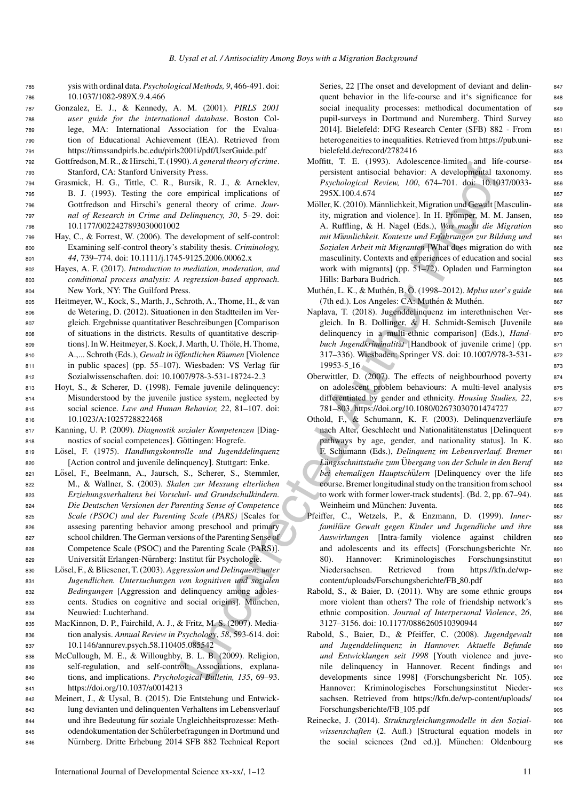- <sup>785</sup> ysis with ordinal data. *Psychological Methods, 9*, 466-491. doi: <sup>786</sup> 10.1037/1082-989X.9.4.466
- <sup>787</sup> Gonzalez, E. J., & Kennedy, A. M. (2001). *PIRLS 2001* <sup>788</sup> *user guide for the international database*. Boston Col-<sup>789</sup> lege, MA: International Association for the Evalua-<sup>790</sup> tion of Educational Achievement (IEA). Retrieved from <sup>791</sup> https://timssandpirls.bc.edu/pirls2001i/pdf/UserGuide.pdf
- <sup>792</sup> Gottfredson, M. R., & Hirschi, T. (1990).*A general theory of crime*. <sup>793</sup> Stanford, CA: Stanford University Press.
- <sup>794</sup> Grasmick, H. G., Tittle, C. R., Bursik, R. J., & Arneklev, <sup>795</sup> B. J. (1993). Testing the core empirical implications of <sup>796</sup> Gottfredson and Hirschi's general theory of crime. *Jour-*<sup>797</sup> *nal of Research in Crime and Delinquency, 30*, 5–29. doi: <sup>798</sup> 10.1177/0022427893030001002
- <sup>799</sup> Hay, C., & Forrest, W. (2006). The development of self-control: <sup>800</sup> Examining self-control theory's stability thesis. *Criminology,* <sup>801</sup> *44*, 739–774. doi: 10.1111/j.1745-9125.2006.00062.x
- <sup>802</sup> Hayes, A. F. (2017). *Introduction to mediation, moderation, and* <sup>803</sup> *conditional process analysis: A regression-based approach.* <sup>804</sup> New York, NY: The Guilford Press.
- <sup>805</sup> Heitmeyer, W., Kock, S., Marth, J., Schroth, A., Thome, H., & van <sup>806</sup> de Wetering, D. (2012). Situationen in den Stadtteilen im Ver-<sup>807</sup> gleich. Ergebnisse quantitativer Beschreibungen [Comparison <sup>808</sup> of situations in the districts. Results of quantitative descrip-809 tions]. In W. Heitmeyer, S. Kock, J. Marth, U. Thöle, H. Thome, 810 A.,... Schroth (Eds.), *Gewalt in öffentlichen Räumen* [Violence] 811 in public spaces] (pp. 55–107). Wiesbaden: VS Verlag für <sup>812</sup> Sozialwissenschaften. doi: 10.1007/978-3-531-18724-2 3
- <sup>813</sup> Hoyt, S., & Scherer, D. (1998). Female juvenile delinquency: <sup>814</sup> Misunderstood by the juvenile justice system, neglected by <sup>815</sup> social science. *Law and Human Behavior, 22*, 81–107. doi: <sup>816</sup> 10.1023/A:1025728822468
- <sup>817</sup> Kanning, U. P. (2009). *Diagnostik sozialer Kompetenzen* [Diag-818 nostics of social competences]. Göttingen: Hogrefe.
- 819 Lösel, F. (1975). *Handlungskontrolle und Jugenddelinquenz* <sup>820</sup> [Action control and juvenile delinquency]. Stuttgart: Enke.
- 821 Lösel, F., Beelmann, A., Jaursch, S., Scherer, S., Stemmler, <sup>822</sup> M., & Wallner, S. (2003). *Skalen zur Messung elterlichen* <sup>823</sup> *Erziehungsverhaltens bei Vorschul- und Grundschulkindern.* <sup>824</sup> *Die Deutschen Versionen der Parenting Sense of Competence* <sup>825</sup> *Scale (PSOC) und der Parenting Scale (PARS)* [Scales for <sup>826</sup> assesing parenting behavior among preschool and primary <sup>827</sup> school children. The German versions of the Parenting Sense of 828 Competence Scale (PSOC) and the Parenting Scale (PARS)]. 829 Universität Erlangen-Nürnberg: Institut für Psychologie.
- 830 Lösel, F., & Bliesener, T. (2003). Aggression und Delinquenz unter <sup>831</sup> *Jugendlichen. Untersuchungen von kognitiven und sozialen* <sup>832</sup> *Bedingungen* [Aggression and delinquency among adoles-833 cents. Studies on cognitive and social origins]. München, <sup>834</sup> Neuwied: Luchterhand.
- <sup>835</sup> MacKinnon, D. P., Fairchild, A. J., & Fritz, M. S. (2007). Media-<sup>836</sup> tion analysis. *Annual Review in Psychology*, *58*, 593-614. doi: <sup>837</sup> 10.1146/annurev.psych.58.110405.085542
- <sup>838</sup> McCullough, M. E., & Willoughby, B. L. B. (2009). Religion, <sup>839</sup> self-regulation, and self-control: Associations, explana-<sup>840</sup> tions, and implications. *Psychological Bulletin, 135*, 69–93. <sup>841</sup> https://doi.org/10.1037/a0014213
- <sup>842</sup> Meinert, J., & Uysal, B. (2015). Die Entstehung und Entwick-<sup>843</sup> lung devianten und delinquenten Verhaltens im Lebensverlauf 844 und ihre Bedeutung für soziale Ungleichheitsprozesse: Meth-845 odendokumentation der Schülerbefragungen in Dortmund und 846 Nürnberg. Dritte Erhebung 2014 SFB 882 Technical Report

Series, 22 [The onset and development of deviant and delin- 847 quent behavior in the life-course and it's significance for 848 social inequality processes: methodical documentation of 849 pupil-surveys in Dortmund and Nuremberg. Third Survey 850 2014]. Bielefeld: DFG Research Center (SFB) 882 - From 851 heterogeneities to inequalities. Retrieved from https://pub.uni- 852 bielefeld.de/record/2782416 853

- Moffitt, T. E. (1993). Adolescence-limited and life-course- 854 persistent antisocial behavior: A developmental taxonomy. 855 *Psychological Review, 100*, 674–701. doi: 10.1037/0033- <sup>856</sup> 295X.100.4.674 857
- Möller, K. (2010). Männlichkeit, Migration und Gewalt [Masculin- 858 ity, migration and violence]. In H. Prömper, M. M. Jansen, asset A. Ruffling, & H. Nagel (Eds.), *Was macht die Migration* 860 *mit Männlichkeit. Kontexte und Erfahrungen zur Bildung und* 861 Sozialen Arbeit mit Migranten [What does migration do with 862 masculinity. Contexts and experiences of education and social 863 work with migrants] (pp. 51–72). Opladen und Farmington 864 Hills: Barbara Budrich. 865
- Muthén, L. K., & Muthén, B. O. (1998–2012). *Mplus user's guide* 866 (7th ed.). Los Angeles: CA: Muthén & Muthén.  $867$
- Naplava, T. (2018). Jugenddelinquenz im interethnischen Ver- 868 gleich. In B. Dollinger, & H. Schmidt-Semisch [Juvenile 869 delinquency in a multi-ethnic comparison] (Eds.), *Hand-* 870 *buch Jugendkriminalität* [Handbook of juvenile crime] (pp. 871 317–336). Wiesbaden: Springer VS. doi: 10.1007/978-3-531- <sup>872</sup> 19953-5 16 873
- Oberwittler, D. (2007). The effects of neighbourhood poverty 874 on adolescent problem behaviours: A multi-level analysis 875 differentiated by gender and ethnicity. *Housing Studies*, 22, 876 781–803. https://doi.org/10.1080/02673030701474727 <sup>877</sup>
- 30.187 energy (1976). Applear and the specific solution of the specific states,  $R_{\perp}$ ,  $R_{\perp}$ ,  $R_{\perp}$ ,  $R_{\perp}$ ,  $R_{\perp}$ ,  $R_{\perp}$ ,  $R_{\perp}$ ,  $R_{\perp}$ ,  $R_{\perp}$ ,  $R_{\perp}$ ,  $R_{\perp}$ ,  $R_{\perp}$ ,  $R_{\perp}$ ,  $R_{\perp}$ , Othold, F., & Schumann, K. F. (2003). Delinquenzverläufe 878 nach Alter, Geschlecht und Nationalitätenstatus [Delinquent arg pathways by age, gender, and nationality status]. In K. 880 F. Schumann (Eds.), *Delinquenz im Lebensverlauf. Bremer* <sup>881</sup> *Längsschnittstudie zum* Übergang von der Schule in den Beruf 882 *bei ehemaligen Hauptschülern* [Delinquency over the life 883 course. Bremer longitudinal study on the transition from school 884 to work with former lower-track students]. (Bd. 2, pp. 67–94). 885 Weinheim und München: Juventa. in 1986 essex and München: 886
	- Pfeiffer, C., Wetzels, P., & Enzmann, D. (1999). *Inner-* 887 *familiäre Gewalt gegen Kinder und Jugendliche und ihre* 888 Auswirkungen [Intra-family violence against children 889 and adolescents and its effects] (Forschungsberichte Nr. <sup>890</sup> 80). Hannover: Kriminologisches Forschungsinstitut 891 Niedersachsen. Retrieved from https://kfn.de/wp- <sup>892</sup> content/uploads/Forschungsberichte/FB\_80.pdf 893
	- Rabold, S., & Baier, D. (2011). Why are some ethnic groups 894 more violent than others? The role of friendship network's 895 ethnic composition. *Journal of Interpersonal Violence*, 26, 896 3127–3156. doi: 10.1177/0886260510390944 897
	- Rabold, S., Baier, D., & Pfeiffer, C. (2008). *Jugendgewalt* 898 und Jugenddelinquenz in Hannover. Aktuelle Befunde s99 und Entwicklungen seit 1998 [Youth violence and juve- 900 nile delinquency in Hannover. Recent findings and <sup>901</sup> developments since 1998] (Forschungsbericht Nr. 105). <sup>902</sup> Hannover: Kriminologisches Forschungsinstitut Nieder- <sup>903</sup> sachsen. Retrieved from https://kfn.de/wp-content/uploads/ 904 Forschungsberichte/FB<sub>-105</sub>.pdf 905
	- Reinecke, J. (2014). *Strukturgleichungsmodelle in den Sozial-* <sup>906</sup> wissenschaften (2. Aufl.) [Structural equation models in 907 the social sciences (2nd ed.)]. München: Oldenbourg som